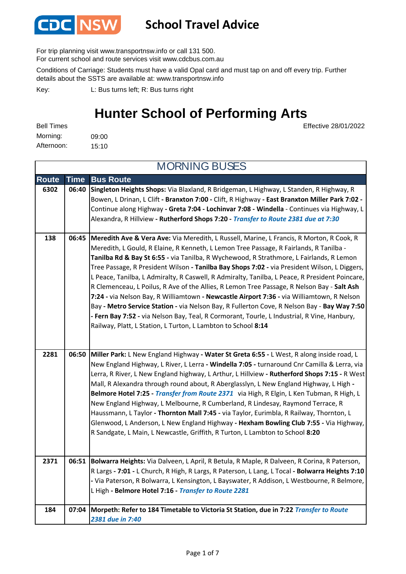

## **School Travel Advice**

For trip planning visit www.transportnsw.info or call 131 500.

For current school and route services visit www.cdcbus.com.au

Conditions of Carriage: Students must have a valid Opal card and must tap on and off every trip. Further details about the SSTS are available at: www.transportnsw.info

L: Bus turns left; R: Bus turns right Key:

## **Hunter School of Performing Arts**

Effective 28/01/2022

| <b>Bell Times</b> |       |
|-------------------|-------|
| Morning:          | 09:00 |
| Afternoon:        | 15:10 |

**Route Time Bus Route 6302 06:40 Singleton Heights Shops:** Via Blaxland, R Bridgeman, L Highway, L Standen, R Highway, R Bowen, L Drinan, L Clift **- Branxton 7:00 -** Clift, R Highway **- East Branxton Miller Park 7:02 -**  Continue along Highway **- Greta 7:04 - Lochinvar 7:08 - Windella** - Continues via Highway, L Alexandra, R Hillview **- Rutherford Shops 7:20 -** *Transfer to Route 2381 due at 7:30* **138 06:45 Meredith Ave & Vera Ave:** Via Meredith, L Russell, Marine, L Francis, R Morton, R Cook, R Meredith, L Gould, R Elaine, R Kenneth, L Lemon Tree Passage, R Fairlands, R Tanilba - **Tanilba Rd & Bay St 6:55 -** via Tanilba, R Wychewood, R Strathmore, L Fairlands, R Lemon Tree Passage, R President Wilson **- Tanilba Bay Shops 7:02 -** via President Wilson, L Diggers, L Peace, Tanilba, L Admiralty, R Caswell, R Admiralty, Tanilba, L Peace, R President Poincare, R Clemenceau, L Poilus, R Ave of the Allies, R Lemon Tree Passage, R Nelson Bay - **Salt Ash 7:24 -** via Nelson Bay, R Williamtown **- Newcastle Airport 7:36 -** via Williamtown, R Nelson Bay **- Metro Service Station -** via Nelson Bay, R Fullerton Cove, R Nelson Bay - **Bay Way 7:50 - Fern Bay 7:52 -** via Nelson Bay, Teal, R Cormorant, Tourle, L Industrial, R Vine, Hanbury, Railway, Platt, L Station, L Turton, L Lambton to School **8:14 2281 06:50 Miller Park:** L New England Highway **- Water St Greta 6:55 -** L West, R along inside road, L New England Highway, L River, L Lerra **- Windella 7:05 -** turnaround Cnr Camilla & Lerra, via Lerra, R River, L New England highway, L Arthur, L Hillview **- Rutherford Shops 7:15 -** R West Mall, R Alexandra through round about, R Aberglasslyn, L New England Highway, L High **- Belmore Hotel 7:25 -** *Transfer from Route 2371* via High, R Elgin, L Ken Tubman, R High, L New England Highway, L Melbourne, R Cumberland, R Lindesay, Raymond Terrace, R Haussmann, L Taylor **- Thornton Mall 7:45 -** via Taylor, Eurimbla, R Railway, Thornton, L Glenwood, L Anderson, L New England Highway **- Hexham Bowling Club 7:55 -** Via Highway, R Sandgate, L Main, L Newcastle, Griffith, R Turton, L Lambton to School **8:20 2371 06:51 Bolwarra Heights:** Via Dalveen, L April, R Betula, R Maple, R Dalveen, R Corina, R Paterson, R Largs **- 7:01 -** L Church, R High, R Largs, R Paterson, L Lang, L Tocal **- Bolwarra Heights 7:10 -** Via Paterson, R Bolwarra, L Kensington, L Bayswater, R Addison, L Westbourne, R Belmore, L High **- Belmore Hotel 7:16 -** *Transfer to Route 2281* **184 07:04 Morpeth: Refer to 184 Timetable to Victoria St Station, due in 7:22** *Transfer to Route 2381 due in 7:40* MORNING BUSES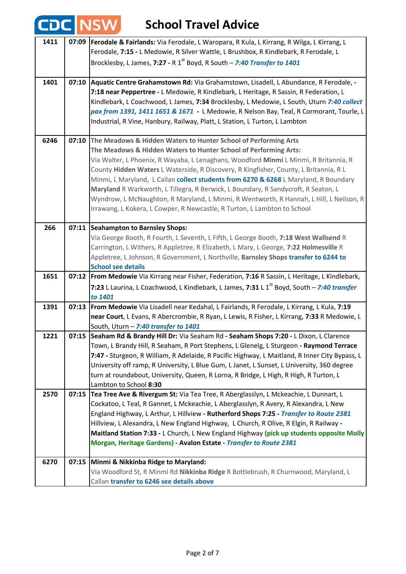| E٦   |       | <b>School Travel Advice</b>                                                                                                                                                                                                                                                                                                                                                                                                                                                                                                                                                                                                                                                     |
|------|-------|---------------------------------------------------------------------------------------------------------------------------------------------------------------------------------------------------------------------------------------------------------------------------------------------------------------------------------------------------------------------------------------------------------------------------------------------------------------------------------------------------------------------------------------------------------------------------------------------------------------------------------------------------------------------------------|
| 1411 | 07:09 | Ferodale & Fairlands: Via Ferodale, L Waropara, R Kula, L Kirrang, R Wilga, L Kirrang, L<br>Ferodale, 7:15 - L Medowie, R Silver Wattle, L Brushbox, R Kindlebark, R Ferodale, L<br>Brocklesby, L James, 7:27 - R 1 <sup>st</sup> Boyd, R South – 7:40 Transfer to 1401                                                                                                                                                                                                                                                                                                                                                                                                         |
|      |       |                                                                                                                                                                                                                                                                                                                                                                                                                                                                                                                                                                                                                                                                                 |
| 1401 | 07:10 | Aquatic Centre Grahamstown Rd: Via Grahamstown, Lisadell, L Abundance, R Ferodale, -<br>7:18 near Peppertree - L Medowie, R Kindlebark, L Heritage, R Sassin, R Federation, L<br>Kindlebark, L Coachwood, L James, 7:34 Brocklesby, L Medowie, L South, Uturn 7:40 collect<br>pax from 1391, 1411 1651 & 1671 - L Medowie, R Nelson Bay, Teal, R Cormorant, Tourle, L<br>Industrial, R Vine, Hanbury, Railway, Platt, L Station, L Turton, L Lambton                                                                                                                                                                                                                            |
| 6246 |       | 07:10 The Meadows & Hidden Waters to Hunter School of Performing Arts<br>The Meadows & Hidden Waters to Hunter School of Performing Arts:<br>Via Walter, L Phoenix, R Wayaba, L Lenaghans, Woodford Minmi L Minmi, R Britannia, R<br>County Hidden Waters L Waterside, R Discovery, R Kingfisher, County, L Britannia, R L<br>Minmi, L Maryland, L Callan collect students from 6270 & 6268 L Maryland, R Boundary<br>Maryland R Warkworth, L Tillegra, R Berwick, L Boundary, R Sandycroft, R Seaton, L<br>Wyndrow, L McNaughton, R Maryland, L Minmi, R Wentworth, R Hannah, L Hill, L Neilson, R<br>Irrawang, L Kokera, L Cowper, R Newcastle, R Turton, L Lambton to School |
| 266  | 07:11 | Seahampton to Barnsley Shops:<br>Via George Booth, R Fourth, L Seventh, L Fifth, L George Booth, 7:18 West Wallsend R<br>Carrington, L Withers, R Appletree, R Elizabeth, L Mary, L George, 7:22 Holmesville R<br>Appletree, L Johnson, R Government, L Northville, Barnsley Shops transfer to 6244 to<br><b>School see details</b>                                                                                                                                                                                                                                                                                                                                             |
| 1651 |       | 07:12   From Medowie Via Kirrang near Fisher, Federation, 7:16 R Sassin, L Heritage, L Kindlebark,<br>7:23 L Laurina, L Coachwood, L Kindlebark, L James, 7:31 L 1 <sup>st</sup> Boyd, South - 7:40 transfer                                                                                                                                                                                                                                                                                                                                                                                                                                                                    |
|      |       | to 1401                                                                                                                                                                                                                                                                                                                                                                                                                                                                                                                                                                                                                                                                         |
| 1391 | 07:13 | From Medowie Via Lisadell near Kedahal, L Fairlands, R Ferodale, L Kirrang, L Kula, 7:19<br>near Court, L Evans, R Abercrombie, R Ryan, L Lewis, R Fisher, L Kirrang, 7:33 R Medowie, L<br>South, Uturn - 7:40 transfer to 1401                                                                                                                                                                                                                                                                                                                                                                                                                                                 |
| 1221 |       | 07:15 Seaham Rd & Brandy Hill Dr: Via Seaham Rd - Seaham Shops 7:20 - L Dixon, L Clarence<br>Town, L Brandy Hill, R Seaham, R Port Stephens, L Glenelg, L Sturgeon - Raymond Terrace<br>7:47 - Sturgeon, R William, R Adelaide, R Pacific Highway, L Maitland, R Inner City Bypass, L<br>University off ramp, R University, L Blue Gum, L Janet, L Sunset, L University, 360 degree<br>turn at roundabout, University, Queen, R Lorna, R Bridge, L High, R High, R Turton, L<br>Lambton to School 8:30                                                                                                                                                                          |
| 2570 | 07:15 | Tea Tree Ave & Rivergum St: Via Tea Tree, R Aberglasslyn, L Mckeachie, L Dunnart, L<br>Cockatoo, L Teal, R Gannet, L Mckeachie, L Aberglasslyn, R Avery, R Alexandra, L New<br>England Highway, L Arthur, L Hillview - Rutherford Shops 7:25 - Transfer to Route 2381<br>Hillview, L Alexandra, L New England Highway, L Church, R Olive, R Elgin, R Railway -<br>Maitland Station 7:33 - L Church, L New England Highway (pick up students opposite Molly<br>Morgan, Heritage Gardens) - Avalon Estate - Transfer to Route 2381                                                                                                                                                |
| 6270 | 07:15 | Minmi & Nikkinba Ridge to Maryland:<br>Via Woodford St, R Minmi Rd Nikkinba Ridge R Bottlebrush, R Churnwood, Maryland, L<br>Callan transfer to 6246 see details above                                                                                                                                                                                                                                                                                                                                                                                                                                                                                                          |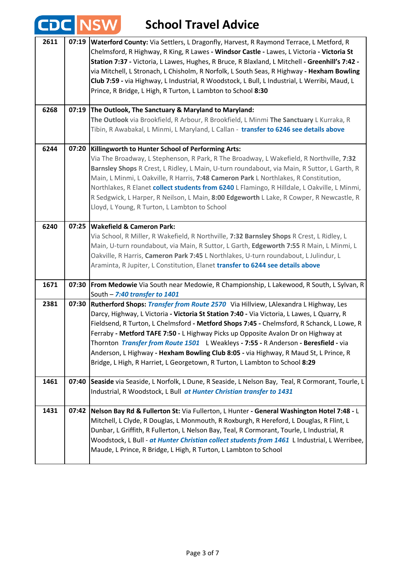|      | $\mathbb{Z}^2$ | <b>School Travel Advice</b>                                                                                                                                                                                                                                                                                                                                                                                                                                                                                                                                                                                                      |
|------|----------------|----------------------------------------------------------------------------------------------------------------------------------------------------------------------------------------------------------------------------------------------------------------------------------------------------------------------------------------------------------------------------------------------------------------------------------------------------------------------------------------------------------------------------------------------------------------------------------------------------------------------------------|
| 2611 | 07:19          | Waterford County: Via Settlers, L Dragonfly, Harvest, R Raymond Terrace, L Metford, R<br>Chelmsford, R Highway, R King, R Lawes - Windsor Castle - Lawes, L Victoria - Victoria St<br>Station 7:37 - Victoria, L Lawes, Hughes, R Bruce, R Blaxland, L Mitchell - Greenhill's 7:42 -<br>via Mitchell, L Stronach, L Chisholm, R Norfolk, L South Seas, R Highway - Hexham Bowling<br>Club 7:59 - via Highway, L Industrial, R Woodstock, L Bull, L Industrial, L Werribi, Maud, L<br>Prince, R Bridge, L High, R Turton, L Lambton to School 8:30                                                                                |
| 6268 |                | 07:19 The Outlook, The Sanctuary & Maryland to Maryland:<br>The Outlook via Brookfield, R Arbour, R Brookfield, L Minmi The Sanctuary L Kurraka, R<br>Tibin, R Awabakal, L Minmi, L Maryland, L Callan - transfer to 6246 see details above                                                                                                                                                                                                                                                                                                                                                                                      |
| 6244 | 07:20          | Killingworth to Hunter School of Performing Arts:<br>Via The Broadway, L Stephenson, R Park, R The Broadway, L Wakefield, R Northville, 7:32<br>Barnsley Shops R Crest, L Ridley, L Main, U-turn roundabout, via Main, R Suttor, L Garth, R<br>Main, L Minmi, L Oakville, R Harris, 7:48 Cameron Park L Northlakes, R Constitution,<br>Northlakes, R Elanet collect students from 6240 L Flamingo, R Hilldale, L Oakville, L Minmi,<br>R Sedgwick, L Harper, R Neilson, L Main, 8:00 Edgeworth L Lake, R Cowper, R Newcastle, R<br>Lloyd, L Young, R Turton, L Lambton to School                                                 |
| 6240 | 07:25          | <b>Wakefield &amp; Cameron Park:</b><br>Via School, R Miller, R Wakefield, R Northville, 7:32 Barnsley Shops R Crest, L Ridley, L<br>Main, U-turn roundabout, via Main, R Suttor, L Garth, Edgeworth 7:55 R Main, L Minmi, L<br>Oakville, R Harris, Cameron Park 7:45 L Northlakes, U-turn roundabout, L Julindur, L<br>Araminta, R Jupiter, L Constitution, Elanet transfer to 6244 see details above                                                                                                                                                                                                                           |
| 1671 | 07:30          | From Medowie Via South near Medowie, R Championship, L Lakewood, R South, L Sylvan, R<br>South - 7:40 transfer to 1401                                                                                                                                                                                                                                                                                                                                                                                                                                                                                                           |
| 2381 | 07:30          | Rutherford Shops: Transfer from Route 2570 Via Hillview, LAlexandra L Highway, Les<br>Darcy, Highway, L Victoria - Victoria St Station 7:40 - Via Victoria, L Lawes, L Quarry, R<br>Fieldsend, R Turton, L Chelmsford - Metford Shops 7:45 - Chelmsford, R Schanck, L Lowe, R<br>Ferraby - Metford TAFE 7:50 - L Highway Picks up Opposite Avalon Dr on Highway at<br>Thornton Transfer from Route 1501 L Weakleys - 7:55 - R Anderson - Beresfield - via<br>Anderson, L Highway - Hexham Bowling Club 8:05 - via Highway, R Maud St, L Prince, R<br>Bridge, L High, R Harriet, L Georgetown, R Turton, L Lambton to School 8:29 |
| 1461 | 07:40          | Seaside via Seaside, L Norfolk, L Dune, R Seaside, L Nelson Bay, Teal, R Cormorant, Tourle, L<br>Industrial, R Woodstock, L Bull at Hunter Christian transfer to 1431                                                                                                                                                                                                                                                                                                                                                                                                                                                            |
| 1431 | 07:42          | Nelson Bay Rd & Fullerton St: Via Fullerton, L Hunter - General Washington Hotel 7:48 - L<br>Mitchell, L Clyde, R Douglas, L Monmouth, R Roxburgh, R Hereford, L Douglas, R Flint, L<br>Dunbar, L Griffith, R Fullerton, L Nelson Bay, Teal, R Cormorant, Tourle, L Industrial, R<br>Woodstock, L Bull - at Hunter Christian collect students from 1461 L Industrial, L Werribee,<br>Maude, L Prince, R Bridge, L High, R Turton, L Lambton to School                                                                                                                                                                            |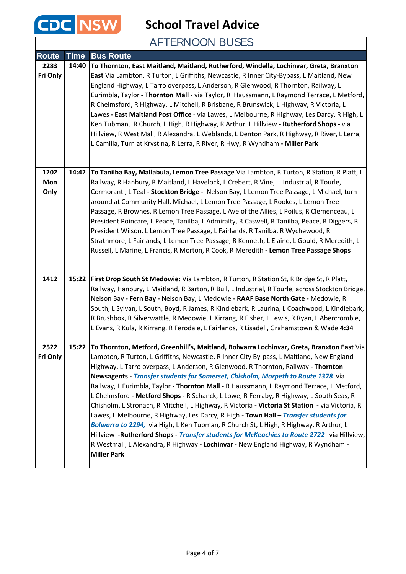

**School Travel Advice**

## AFTERNOON BUSES

| <b>Route</b> | <b>Time</b> | <b>Bus Route</b>                                                                                                                                                           |
|--------------|-------------|----------------------------------------------------------------------------------------------------------------------------------------------------------------------------|
| 2283         | 14:40       | To Thornton, East Maitland, Maitland, Rutherford, Windella, Lochinvar, Greta, Branxton                                                                                     |
| Fri Only     |             | East Via Lambton, R Turton, L Griffiths, Newcastle, R Inner City-Bypass, L Maitland, New                                                                                   |
|              |             | England Highway, L Tarro overpass, L Anderson, R Glenwood, R Thornton, Railway, L                                                                                          |
|              |             | Eurimbla, Taylor - Thornton Mall - via Taylor, R Haussmann, L Raymond Terrace, L Metford,                                                                                  |
|              |             | R Chelmsford, R Highway, L Mitchell, R Brisbane, R Brunswick, L Highway, R Victoria, L                                                                                     |
|              |             | Lawes - East Maitland Post Office - via Lawes, L Melbourne, R Highway, Les Darcy, R High, L                                                                                |
|              |             | Ken Tubman, R Church, L High, R Highway, R Arthur, L Hillview - Rutherford Shops - via                                                                                     |
|              |             | Hillview, R West Mall, R Alexandra, L Weblands, L Denton Park, R Highway, R River, L Lerra,                                                                                |
|              |             | L Camilla, Turn at Krystina, R Lerra, R River, R Hwy, R Wyndham - Miller Park                                                                                              |
|              |             |                                                                                                                                                                            |
|              |             |                                                                                                                                                                            |
| 1202         | 14:42       | To Tanilba Bay, Mallabula, Lemon Tree Passage Via Lambton, R Turton, R Station, R Platt, L                                                                                 |
| Mon          |             | Railway, R Hanbury, R Maitland, L Havelock, L Crebert, R Vine, L Industrial, R Tourle,                                                                                     |
| Only         |             | Cormorant, L Teal - Stockton Bridge - Nelson Bay, L Lemon Tree Passage, L Michael, turn<br>around at Community Hall, Michael, L Lemon Tree Passage, L Rookes, L Lemon Tree |
|              |             | Passage, R Brownes, R Lemon Tree Passage, L Ave of the Allies, L Poilus, R Clemenceau, L                                                                                   |
|              |             | President Poincare, L Peace, Tanilba, L Admiralty, R Caswell, R Tanilba, Peace, R Diggers, R                                                                               |
|              |             | President Wilson, L Lemon Tree Passage, L Fairlands, R Tanilba, R Wychewood, R                                                                                             |
|              |             | Strathmore, L Fairlands, L Lemon Tree Passage, R Kenneth, L Elaine, L Gould, R Meredith, L                                                                                 |
|              |             | Russell, L Marine, L Francis, R Morton, R Cook, R Meredith - Lemon Tree Passage Shops                                                                                      |
|              |             |                                                                                                                                                                            |
|              |             |                                                                                                                                                                            |
| 1412         | 15:22       | First Drop South St Medowie: Via Lambton, R Turton, R Station St, R Bridge St, R Platt,                                                                                    |
|              |             | Railway, Hanbury, L Maitland, R Barton, R Bull, L Industrial, R Tourle, across Stockton Bridge,                                                                            |
|              |             | Nelson Bay - Fern Bay - Nelson Bay, L Medowie - RAAF Base North Gate - Medowie, R                                                                                          |
|              |             | South, L Sylvan, L South, Boyd, R James, R Kindlebark, R Laurina, L Coachwood, L Kindlebark,                                                                               |
|              |             | R Brushbox, R Silverwattle, R Medowie, L Kirrang, R Fisher, L Lewis, R Ryan, L Abercrombie,                                                                                |
|              |             | L Evans, R Kula, R Kirrang, R Ferodale, L Fairlands, R Lisadell, Grahamstown & Wade 4:34                                                                                   |
| 2522         | 15:22       | To Thornton, Metford, Greenhill's, Maitland, Bolwarra Lochinvar, Greta, Branxton East Via                                                                                  |
| Fri Only     |             | Lambton, R Turton, L Griffiths, Newcastle, R Inner City By-pass, L Maitland, New England                                                                                   |
|              |             | Highway, L Tarro overpass, L Anderson, R Glenwood, R Thornton, Railway - Thornton                                                                                          |
|              |             | Newsagents - Transfer students for Somerset, Chisholm, Morpeth to Route 1378 via                                                                                           |
|              |             | Railway, L Eurimbla, Taylor - Thornton Mall - R Haussmann, L Raymond Terrace, L Metford,                                                                                   |
|              |             | L Chelmsford - Metford Shops - R Schanck, L Lowe, R Ferraby, R Highway, L South Seas, R                                                                                    |
|              |             | Chisholm, L Stronach, R Mitchell, L Highway, R Victoria - Victoria St Station - via Victoria, R                                                                            |
|              |             | Lawes, L Melbourne, R Highway, Les Darcy, R High - Town Hall - Transfer students for                                                                                       |
|              |             | Bolwarra to 2294, via High, L Ken Tubman, R Church St, L High, R Highway, R Arthur, L                                                                                      |
|              |             | Hillview -Rutherford Shops - Transfer students for McKeachies to Route 2722 via Hillview,                                                                                  |
|              |             | R Westmall, L Alexandra, R Highway - Lochinvar - New England Highway, R Wyndham -                                                                                          |
|              |             | <b>Miller Park</b>                                                                                                                                                         |
|              |             |                                                                                                                                                                            |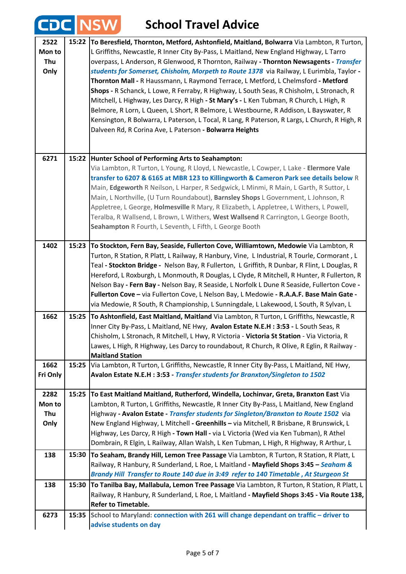## **School Travel Advice**

|                               |       | <b>NSW</b><br><b>School Travel Advice</b>                                                                                                                                                                                                                                                                                                                                                                                                                                                                                                                                                                                                                                                                                                                                                                                                                                                                |
|-------------------------------|-------|----------------------------------------------------------------------------------------------------------------------------------------------------------------------------------------------------------------------------------------------------------------------------------------------------------------------------------------------------------------------------------------------------------------------------------------------------------------------------------------------------------------------------------------------------------------------------------------------------------------------------------------------------------------------------------------------------------------------------------------------------------------------------------------------------------------------------------------------------------------------------------------------------------|
| 2522<br>Mon to<br>Thu<br>Only | 15:22 | To Beresfield, Thornton, Metford, Ashtonfield, Maitland, Bolwarra Via Lambton, R Turton,<br>L Griffiths, Newcastle, R Inner City By-Pass, L Maitland, New England Highway, L Tarro<br>overpass, L Anderson, R Glenwood, R Thornton, Railway - Thornton Newsagents - Transfer<br>students for Somerset, Chisholm, Morpeth to Route 1378 via Railway, L Eurimbla, Taylor -<br>Thornton Mall - R Haussmann, L Raymond Terrace, L Metford, L Chelmsford - Metford<br>Shops - R Schanck, L Lowe, R Ferraby, R Highway, L South Seas, R Chisholm, L Stronach, R<br>Mitchell, L Highway, Les Darcy, R High - St Mary's - L Ken Tubman, R Church, L High, R<br>Belmore, R Lorn, L Queen, L Short, R Belmore, L Westbourne, R Addison, L Bayswater, R<br>Kensington, R Bolwarra, L Paterson, L Tocal, R Lang, R Paterson, R Largs, L Church, R High, R<br>Dalveen Rd, R Corina Ave, L Paterson - Bolwarra Heights |
| 6271                          | 15:22 | Hunter School of Performing Arts to Seahampton:<br>Via Lambton, R Turton, L Young, R Lloyd, L Newcastle, L Cowper, L Lake - Elermore Vale<br>transfer to 6207 & 6165 at MBR 123 to Killingworth & Cameron Park see details below R<br>Main, Edgeworth R Neilson, L Harper, R Sedgwick, L Minmi, R Main, L Garth, R Suttor, L<br>Main, L Northville, (U Turn Roundabout), Barnsley Shops L Government, L Johnson, R<br>Appletree, L George, Holmesville R Mary, R Elizabeth, L Appletree, L Withers, L Powell,<br>Teralba, R Wallsend, L Brown, L Withers, West Wallsend R Carrington, L George Booth,<br>Seahampton R Fourth, L Seventh, L Fifth, L George Booth                                                                                                                                                                                                                                         |
| 1402                          | 15:23 | To Stockton, Fern Bay, Seaside, Fullerton Cove, Williamtown, Medowie Via Lambton, R<br>Turton, R Station, R Platt, L Railway, R Hanbury, Vine, L Industrial, R Tourle, Cormorant, L<br>Teal - Stockton Bridge - Nelson Bay, R Fullerton, L Griffith, R Dunbar, R Flint, L Douglas, R<br>Hereford, L Roxburgh, L Monmouth, R Douglas, L Clyde, R Mitchell, R Hunter, R Fullerton, R<br>Nelson Bay - Fern Bay - Nelson Bay, R Seaside, L Norfolk L Dune R Seaside, Fullerton Cove -<br>Fullerton Cove - via Fullerton Cove, L Nelson Bay, L Medowie - R.A.A.F. Base Main Gate -<br>via Medowie, R South, R Championship, L Sunningdale, L Lakewood, L South, R Sylvan, L                                                                                                                                                                                                                                   |
| 1662                          |       | 15:25 To Ashtonfield, East Maitland, Maitland Via Lambton, R Turton, L Griffiths, Newcastle, R<br>Inner City By-Pass, L Maitland, NE Hwy, Avalon Estate N.E.H : 3:53 - L South Seas, R<br>Chisholm, L Stronach, R Mitchell, L Hwy, R Victoria - Victoria St Station - Via Victoria, R<br>Lawes, L High, R Highway, Les Darcy to roundabout, R Church, R Olive, R Eglin, R Railway -<br><b>Maitland Station</b>                                                                                                                                                                                                                                                                                                                                                                                                                                                                                           |
| 1662<br>Fri Only              | 15:25 | Via Lambton, R Turton, L Griffiths, Newcastle, R Inner City By-Pass, L Maitland, NE Hwy,<br>Avalon Estate N.E.H : 3:53 - Transfer students for Branxton/Singleton to 1502                                                                                                                                                                                                                                                                                                                                                                                                                                                                                                                                                                                                                                                                                                                                |
| 2282<br>Mon to<br>Thu<br>Only | 15:25 | To East Maitland Maitland, Rutherford, Windella, Lochinvar, Greta, Branxton East Via<br>Lambton, R Turton, L Griffiths, Newcastle, R Inner City By-Pass, L Maitland, New England<br>Highway - Avalon Estate - Transfer students for Singleton/Branxton to Route 1502 via<br>New England Highway, L Mitchell - Greenhills - via Mitchell, R Brisbane, R Brunswick, L<br>Highway, Les Darcy, R High - Town Hall - via L Victoria (Wed via Ken Tubman), R Athel<br>Dombrain, R Elgin, L Railway, Allan Walsh, L Ken Tubman, L High, R Highway, R Arthur, L                                                                                                                                                                                                                                                                                                                                                  |
| 138                           | 15:30 | To Seaham, Brandy Hill, Lemon Tree Passage Via Lambton, R Turton, R Station, R Platt, L<br>Railway, R Hanbury, R Sunderland, L Roe, L Maitland - Mayfield Shops 3:45 - Seaham &<br>Brandy Hill Transfer to Route 140 due in 3:49 refer to 140 Timetable, At Sturgeon St                                                                                                                                                                                                                                                                                                                                                                                                                                                                                                                                                                                                                                  |
| 138                           | 15:30 | To Tanilba Bay, Mallabula, Lemon Tree Passage Via Lambton, R Turton, R Station, R Platt, L<br>Railway, R Hanbury, R Sunderland, L Roe, L Maitland - Mayfield Shops 3:45 - Via Route 138,<br><b>Refer to Timetable.</b>                                                                                                                                                                                                                                                                                                                                                                                                                                                                                                                                                                                                                                                                                   |
| 6273                          | 15:35 | School to Maryland: connection with 261 will change dependant on traffic - driver to<br>advise students on day                                                                                                                                                                                                                                                                                                                                                                                                                                                                                                                                                                                                                                                                                                                                                                                           |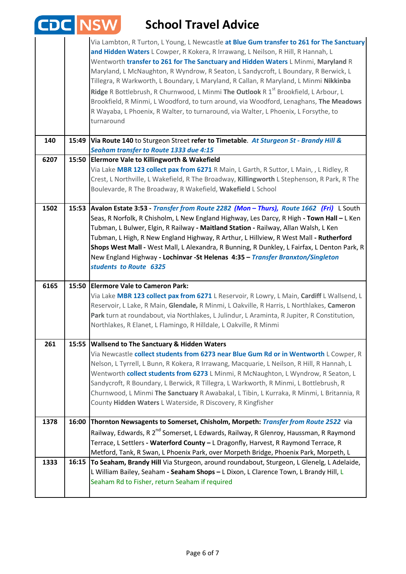|      |       | <b>NSW</b><br><b>School Travel Advice</b>                                                                                                                                                                                                                                                                                                                                                                                                                                                                                                                                                                                                                                                                                                           |
|------|-------|-----------------------------------------------------------------------------------------------------------------------------------------------------------------------------------------------------------------------------------------------------------------------------------------------------------------------------------------------------------------------------------------------------------------------------------------------------------------------------------------------------------------------------------------------------------------------------------------------------------------------------------------------------------------------------------------------------------------------------------------------------|
|      |       | Via Lambton, R Turton, L Young, L Newcastle at Blue Gum transfer to 261 for The Sanctuary<br>and Hidden Waters L Cowper, R Kokera, R Irrawang, L Neilson, R Hill, R Hannah, L<br>Wentworth transfer to 261 for The Sanctuary and Hidden Waters L Minmi, Maryland R<br>Maryland, L McNaughton, R Wyndrow, R Seaton, L Sandycroft, L Boundary, R Berwick, L<br>Tillegra, R Warkworth, L Boundary, L Maryland, R Callan, R Maryland, L Minmi Nikkinba<br>Ridge R Bottlebrush, R Churnwood, L Minmi The Outlook R 1 <sup>st</sup> Brookfield, L Arbour, L<br>Brookfield, R Minmi, L Woodford, to turn around, via Woodford, Lenaghans, The Meadows<br>R Wayaba, L Phoenix, R Walter, to turnaround, via Walter, L Phoenix, L Forsythe, to<br>turnaround |
| 140  | 15:49 | Via Route 140 to Sturgeon Street refer to Timetable. At Sturgeon St - Brandy Hill &<br>Seaham transfer to Route 1333 due 4:15                                                                                                                                                                                                                                                                                                                                                                                                                                                                                                                                                                                                                       |
| 6207 | 15:50 | <b>Elermore Vale to Killingworth &amp; Wakefield</b><br>Via Lake MBR 123 collect pax from 6271 R Main, L Garth, R Suttor, L Main, , L Ridley, R<br>Crest, L Northville, L Wakefield, R The Broadway, Killingworth L Stephenson, R Park, R The<br>Boulevarde, R The Broadway, R Wakefield, Wakefield L School                                                                                                                                                                                                                                                                                                                                                                                                                                        |
| 1502 |       | 15:53 Avalon Estate 3:53 - Transfer from Route 2282 (Mon - Thurs), Route 1662 (Fri) L South<br>Seas, R Norfolk, R Chisholm, L New England Highway, Les Darcy, R High - Town Hall - L Ken<br>Tubman, L Bulwer, Elgin, R Railway - Maitland Station - Railway, Allan Walsh, L Ken<br>Tubman, L High, R New England Highway, R Arthur, L Hillview, R West Mall - Rutherford<br>Shops West Mall - West Mall, L Alexandra, R Bunning, R Dunkley, L Fairfax, L Denton Park, R<br>New England Highway - Lochinvar -St Helenas 4:35 - Transfer Branxton/Singleton<br>students to Route 6325                                                                                                                                                                 |
| 6165 |       | 15:50 Elermore Vale to Cameron Park:<br>Via Lake MBR 123 collect pax from 6271 L Reservoir, R Lowry, L Main, Cardiff L Wallsend, L<br>Reservoir, L Lake, R Main, Glendale, R Minmi, L Oakville, R Harris, L Northlakes, Cameron<br>Park turn at roundabout, via Northlakes, L Julindur, L Araminta, R Jupiter, R Constitution,<br>Northlakes, R Elanet, L Flamingo, R Hilldale, L Oakville, R Minmi                                                                                                                                                                                                                                                                                                                                                 |
| 261  | 15:55 | <b>Wallsend to The Sanctuary &amp; Hidden Waters</b><br>Via Newcastle collect students from 6273 near Blue Gum Rd or in Wentworth L Cowper, R<br>Nelson, L Tyrrell, L Bunn, R Kokera, R Irrawang, Macquarie, L Neilson, R Hill, R Hannah, L<br>Wentworth collect students from 6273 L Minmi, R McNaughton, L Wyndrow, R Seaton, L<br>Sandycroft, R Boundary, L Berwick, R Tillegra, L Warkworth, R Minmi, L Bottlebrush, R<br>Churnwood, L Minmi The Sanctuary R Awabakal, L Tibin, L Kurraka, R Minmi, L Britannia, R<br>County Hidden Waters L Waterside, R Discovery, R Kingfisher                                                                                                                                                               |
| 1378 | 16:00 | Thornton Newsagents to Somerset, Chisholm, Morpeth: Transfer from Route 2522 via<br>Railway, Edwards, R 2 <sup>nd</sup> Somerset, L Edwards, Railway, R Glenroy, Haussman, R Raymond<br>Terrace, L Settlers - Waterford County - L Dragonfly, Harvest, R Raymond Terrace, R<br>Metford, Tank, R Swan, L Phoenix Park, over Morpeth Bridge, Phoenix Park, Morpeth, L                                                                                                                                                                                                                                                                                                                                                                                 |
| 1333 | 16:15 | To Seaham, Brandy Hill Via Sturgeon, around roundabout, Sturgeon, L Glenelg, L Adelaide,<br>L William Bailey, Seaham - Seaham Shops - L Dixon, L Clarence Town, L Brandy Hill, L<br>Seaham Rd to Fisher, return Seaham if required                                                                                                                                                                                                                                                                                                                                                                                                                                                                                                                  |